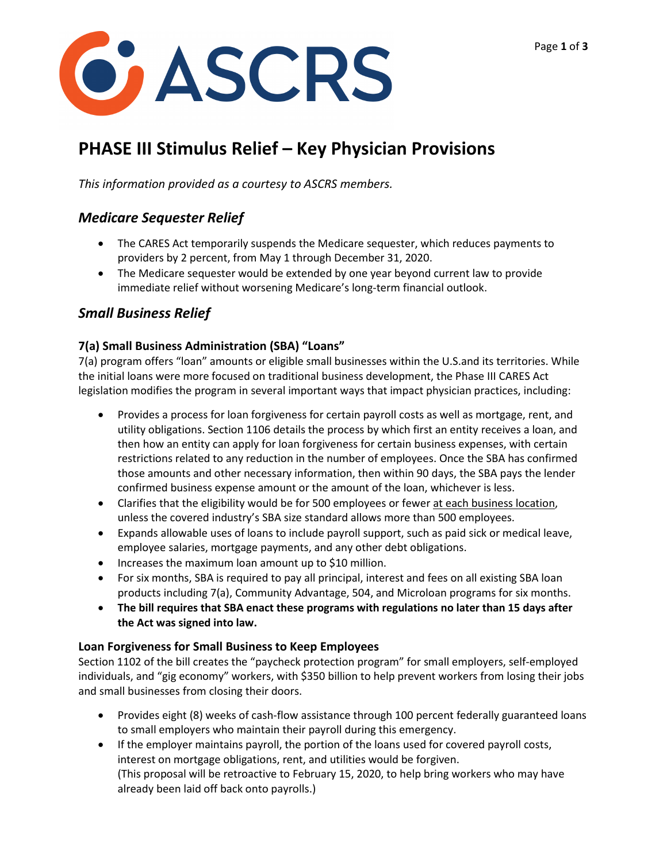

# **PHASE III Stimulus Relief – Key Physician Provisions**

*This information provided as a courtesy to ASCRS members.*

## *Medicare Sequester Relief*

- The CARES Act temporarily suspends the Medicare sequester, which reduces payments to providers by 2 percent, from May 1 through December 31, 2020.
- The Medicare sequester would be extended by one year beyond current law to provide immediate relief without worsening Medicare's long-term financial outlook.

## *Small Business Relief*

### **7(a) Small Business Administration (SBA) "Loans"**

7(a) program offers "loan" amounts or eligible small businesses within the U.S.and its territories. While the initial loans were more focused on traditional business development, the Phase III CARES Act legislation modifies the program in several important ways that impact physician practices, including:

- Provides a process for loan forgiveness for certain payroll costs as well as mortgage, rent, and utility obligations. Section 1106 details the process by which first an entity receives a loan, and then how an entity can apply for loan forgiveness for certain business expenses, with certain restrictions related to any reduction in the number of employees. Once the SBA has confirmed those amounts and other necessary information, then within 90 days, the SBA pays the lender confirmed business expense amount or the amount of the loan, whichever is less.
- Clarifies that the eligibility would be for 500 employees or fewer at each business location, unless the covered industry's SBA size standard allows more than 500 employees.
- Expands allowable uses of loans to include payroll support, such as paid sick or medical leave, employee salaries, mortgage payments, and any other debt obligations.
- Increases the maximum loan amount up to \$10 million.
- For six months, SBA is required to pay all principal, interest and fees on all existing SBA loan products including 7(a), Community Advantage, 504, and Microloan programs for six months.
- **The bill requires that SBA enact these programs with regulations no later than 15 days after the Act was signed into law.**

### **Loan Forgiveness for Small Business to Keep Employees**

Section 1102 of the bill creates the "paycheck protection program" for small employers, self-employed individuals, and "gig economy" workers, with \$350 billion to help prevent workers from losing their jobs and small businesses from closing their doors.

- Provides eight (8) weeks of cash-flow assistance through 100 percent federally guaranteed loans to small employers who maintain their payroll during this emergency.
- If the employer maintains payroll, the portion of the loans used for covered payroll costs, interest on mortgage obligations, rent, and utilities would be forgiven. (This proposal will be retroactive to February 15, 2020, to help bring workers who may have already been laid off back onto payrolls.)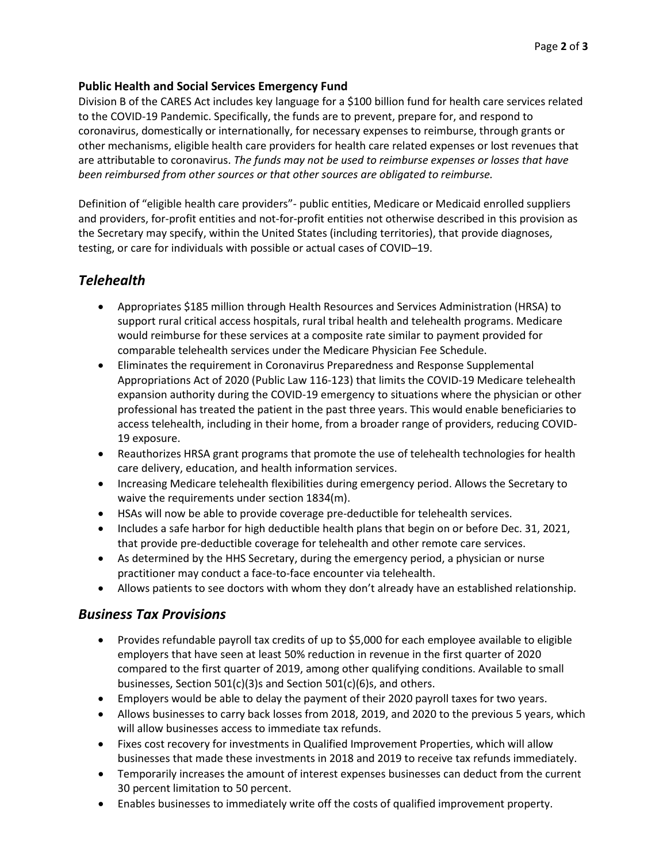#### **Public Health and Social Services Emergency Fund**

Division B of the CARES Act includes key language for a \$100 billion fund for health care services related to the COVID-19 Pandemic. Specifically, the funds are to prevent, prepare for, and respond to coronavirus, domestically or internationally, for necessary expenses to reimburse, through grants or other mechanisms, eligible health care providers for health care related expenses or lost revenues that are attributable to coronavirus. *The funds may not be used to reimburse expenses or losses that have been reimbursed from other sources or that other sources are obligated to reimburse.*

Definition of "eligible health care providers"- public entities, Medicare or Medicaid enrolled suppliers and providers, for-profit entities and not-for-profit entities not otherwise described in this provision as the Secretary may specify, within the United States (including territories), that provide diagnoses, testing, or care for individuals with possible or actual cases of COVID–19.

## *Telehealth*

- Appropriates \$185 million through Health Resources and Services Administration (HRSA) to support rural critical access hospitals, rural tribal health and telehealth programs. Medicare would reimburse for these services at a composite rate similar to payment provided for comparable telehealth services under the Medicare Physician Fee Schedule.
- Eliminates the requirement in Coronavirus Preparedness and Response Supplemental Appropriations Act of 2020 (Public Law 116-123) that limits the COVID-19 Medicare telehealth expansion authority during the COVID-19 emergency to situations where the physician or other professional has treated the patient in the past three years. This would enable beneficiaries to access telehealth, including in their home, from a broader range of providers, reducing COVID-19 exposure.
- Reauthorizes HRSA grant programs that promote the use of telehealth technologies for health care delivery, education, and health information services.
- Increasing Medicare telehealth flexibilities during emergency period. Allows the Secretary to waive the requirements under section 1834(m).
- HSAs will now be able to provide coverage pre-deductible for telehealth services.
- Includes a safe harbor for high deductible health plans that begin on or before Dec. 31, 2021, that provide pre-deductible coverage for telehealth and other remote care services.
- As determined by the HHS Secretary, during the emergency period, a physician or nurse practitioner may conduct a face-to-face encounter via telehealth.
- Allows patients to see doctors with whom they don't already have an established relationship.

### *Business Tax Provisions*

- Provides refundable payroll tax credits of up to \$5,000 for each employee available to eligible employers that have seen at least 50% reduction in revenue in the first quarter of 2020 compared to the first quarter of 2019, among other qualifying conditions. Available to small businesses, Section 501(c)(3)s and Section 501(c)(6)s, and others.
- Employers would be able to delay the payment of their 2020 payroll taxes for two years.
- Allows businesses to carry back losses from 2018, 2019, and 2020 to the previous 5 years, which will allow businesses access to immediate tax refunds.
- Fixes cost recovery for investments in Qualified Improvement Properties, which will allow businesses that made these investments in 2018 and 2019 to receive tax refunds immediately.
- Temporarily increases the amount of interest expenses businesses can deduct from the current 30 percent limitation to 50 percent.
- Enables businesses to immediately write off the costs of qualified improvement property.